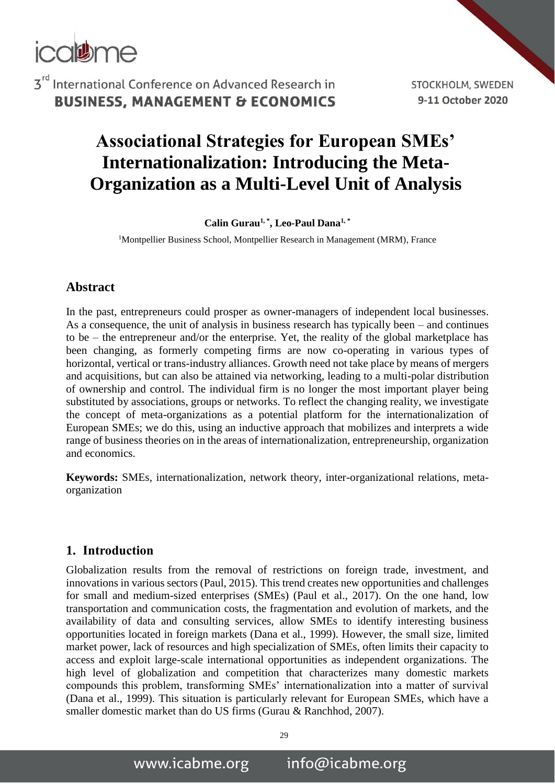

STOCKHOLM, SWEDEN 9-11 October 2020

# **Associational Strategies for European SMEs' Internationalization: Introducing the Meta-Organization as a Multi-Level Unit of Analysis**

**Calin Gurau1, \* , Leo-Paul Dana1, \*** 

<sup>1</sup>Montpellier Business School, Montpellier Research in Management (MRM), France

#### **Abstract**

In the past, entrepreneurs could prosper as owner-managers of independent local businesses. As a consequence, the unit of analysis in business research has typically been – and continues to be – the entrepreneur and/or the enterprise. Yet, the reality of the global marketplace has been changing, as formerly competing firms are now co-operating in various types of horizontal, vertical or trans-industry alliances. Growth need not take place by means of mergers and acquisitions, but can also be attained via networking, leading to a multi-polar distribution of ownership and control. The individual firm is no longer the most important player being substituted by associations, groups or networks. To reflect the changing reality, we investigate the concept of meta-organizations as a potential platform for the internationalization of European SMEs; we do this, using an inductive approach that mobilizes and interprets a wide range of business theories on in the areas of internationalization, entrepreneurship, organization and economics.

**Keywords:** SMEs, internationalization, network theory, inter-organizational relations, metaorganization

#### **1. Introduction**

Globalization results from the removal of restrictions on foreign trade, investment, and innovations in various sectors (Paul, 2015). This trend creates new opportunities and challenges for small and medium-sized enterprises (SMEs) (Paul et al., 2017). On the one hand, low transportation and communication costs, the fragmentation and evolution of markets, and the availability of data and consulting services, allow SMEs to identify interesting business opportunities located in foreign markets (Dana et al., 1999). However, the small size, limited market power, lack of resources and high specialization of SMEs, often limits their capacity to access and exploit large-scale international opportunities as independent organizations. The high level of globalization and competition that characterizes many domestic markets compounds this problem, transforming SMEs' internationalization into a matter of survival (Dana et al., 1999). This situation is particularly relevant for European SMEs, which have a smaller domestic market than do US firms (Gurau & Ranchhod, 2007).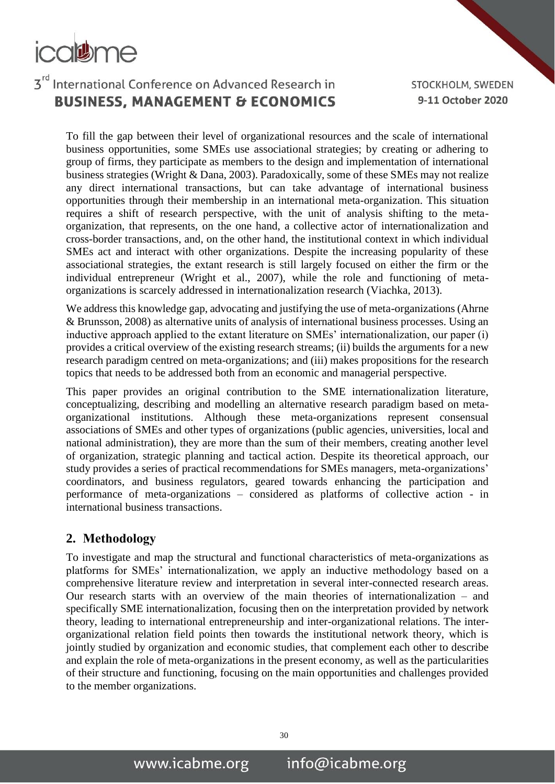# colume

## 3rd International Conference on Advanced Research in **BUSINESS, MANAGEMENT & ECONOMICS**

STOCKHOLM, SWEDEN 9-11 October 2020

To fill the gap between their level of organizational resources and the scale of international business opportunities, some SMEs use associational strategies; by creating or adhering to group of firms, they participate as members to the design and implementation of international business strategies (Wright & Dana, 2003). Paradoxically, some of these SMEs may not realize any direct international transactions, but can take advantage of international business opportunities through their membership in an international meta-organization. This situation requires a shift of research perspective, with the unit of analysis shifting to the metaorganization, that represents, on the one hand, a collective actor of internationalization and cross-border transactions, and, on the other hand, the institutional context in which individual SMEs act and interact with other organizations. Despite the increasing popularity of these associational strategies, the extant research is still largely focused on either the firm or the individual entrepreneur (Wright et al., 2007), while the role and functioning of metaorganizations is scarcely addressed in internationalization research (Viachka, 2013).

We address this knowledge gap, advocating and justifying the use of meta-organizations (Ahrne & Brunsson, 2008) as alternative units of analysis of international business processes. Using an inductive approach applied to the extant literature on SMEs' internationalization, our paper (i) provides a critical overview of the existing research streams; (ii) builds the arguments for a new research paradigm centred on meta-organizations; and (iii) makes propositions for the research topics that needs to be addressed both from an economic and managerial perspective.

This paper provides an original contribution to the SME internationalization literature, conceptualizing, describing and modelling an alternative research paradigm based on metaorganizational institutions. Although these meta-organizations represent consensual associations of SMEs and other types of organizations (public agencies, universities, local and national administration), they are more than the sum of their members, creating another level of organization, strategic planning and tactical action. Despite its theoretical approach, our study provides a series of practical recommendations for SMEs managers, meta-organizations' coordinators, and business regulators, geared towards enhancing the participation and performance of meta-organizations – considered as platforms of collective action - in international business transactions.

#### **2. Methodology**

To investigate and map the structural and functional characteristics of meta-organizations as platforms for SMEs' internationalization, we apply an inductive methodology based on a comprehensive literature review and interpretation in several inter-connected research areas. Our research starts with an overview of the main theories of internationalization – and specifically SME internationalization, focusing then on the interpretation provided by network theory, leading to international entrepreneurship and inter-organizational relations. The interorganizational relation field points then towards the institutional network theory, which is jointly studied by organization and economic studies, that complement each other to describe and explain the role of meta-organizations in the present economy, as well as the particularities of their structure and functioning, focusing on the main opportunities and challenges provided to the member organizations.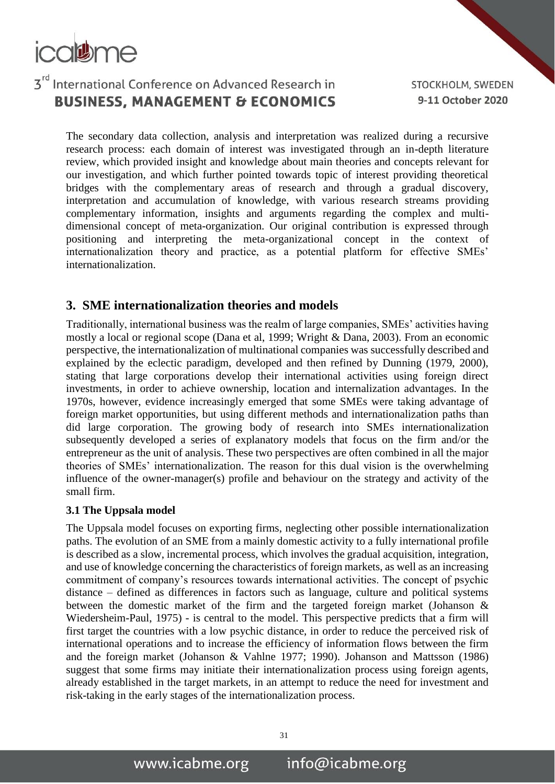

STOCKHOLM, SWEDEN 9-11 October 2020

The secondary data collection, analysis and interpretation was realized during a recursive research process: each domain of interest was investigated through an in-depth literature review, which provided insight and knowledge about main theories and concepts relevant for our investigation, and which further pointed towards topic of interest providing theoretical bridges with the complementary areas of research and through a gradual discovery, interpretation and accumulation of knowledge, with various research streams providing complementary information, insights and arguments regarding the complex and multidimensional concept of meta-organization. Our original contribution is expressed through positioning and interpreting the meta-organizational concept in the context of internationalization theory and practice, as a potential platform for effective SMEs' internationalization.

#### **3. SME internationalization theories and models**

Traditionally, international business was the realm of large companies, SMEs' activities having mostly a local or regional scope (Dana et al, 1999; Wright & Dana, 2003). From an economic perspective, the internationalization of multinational companies was successfully described and explained by the eclectic paradigm, developed and then refined by Dunning (1979, 2000), stating that large corporations develop their international activities using foreign direct investments, in order to achieve ownership, location and internalization advantages. In the 1970s, however, evidence increasingly emerged that some SMEs were taking advantage of foreign market opportunities, but using different methods and internationalization paths than did large corporation. The growing body of research into SMEs internationalization subsequently developed a series of explanatory models that focus on the firm and/or the entrepreneur as the unit of analysis. These two perspectives are often combined in all the major theories of SMEs' internationalization. The reason for this dual vision is the overwhelming influence of the owner-manager(s) profile and behaviour on the strategy and activity of the small firm.

#### **3.1 The Uppsala model**

The Uppsala model focuses on exporting firms, neglecting other possible internationalization paths. The evolution of an SME from a mainly domestic activity to a fully international profile is described as a slow, incremental process, which involves the gradual acquisition, integration, and use of knowledge concerning the characteristics of foreign markets, as well as an increasing commitment of company's resources towards international activities. The concept of psychic distance – defined as differences in factors such as language, culture and political systems between the domestic market of the firm and the targeted foreign market (Johanson & Wiedersheim-Paul, 1975) - is central to the model. This perspective predicts that a firm will first target the countries with a low psychic distance, in order to reduce the perceived risk of international operations and to increase the efficiency of information flows between the firm and the foreign market (Johanson & Vahlne 1977; 1990). Johanson and Mattsson (1986) suggest that some firms may initiate their internationalization process using foreign agents, already established in the target markets, in an attempt to reduce the need for investment and risk-taking in the early stages of the internationalization process.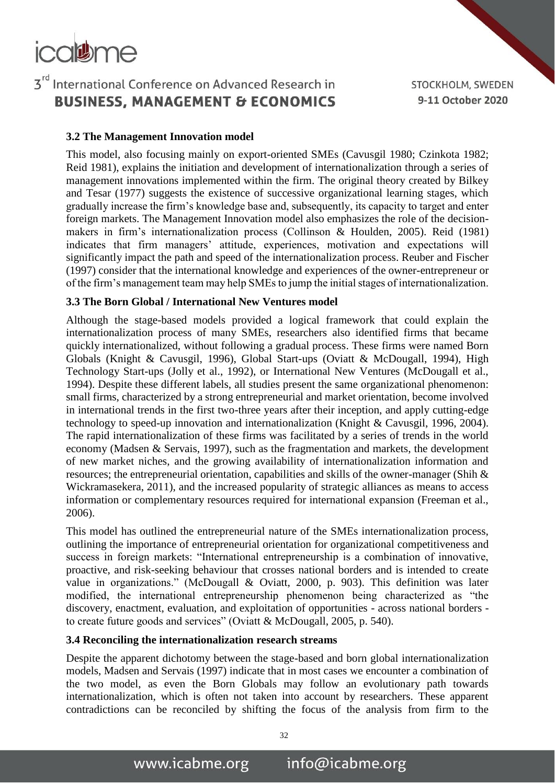### 3rd International Conference on Advanced Research in **BUSINESS, MANAGEMENT & ECONOMICS**

STOCKHOLM, SWEDEN 9-11 October 2020

#### **3.2 The Management Innovation model**

This model, also focusing mainly on export-oriented SMEs (Cavusgil 1980; Czinkota 1982; Reid 1981), explains the initiation and development of internationalization through a series of management innovations implemented within the firm. The original theory created by Bilkey and Tesar (1977) suggests the existence of successive organizational learning stages, which gradually increase the firm's knowledge base and, subsequently, its capacity to target and enter foreign markets. The Management Innovation model also emphasizes the role of the decisionmakers in firm's internationalization process (Collinson & Houlden, 2005). Reid (1981) indicates that firm managers' attitude, experiences, motivation and expectations will significantly impact the path and speed of the internationalization process. Reuber and Fischer (1997) consider that the international knowledge and experiences of the owner-entrepreneur or of the firm's management team may help SMEs to jump the initial stages of internationalization.

#### **3.3 The Born Global / International New Ventures model**

Although the stage-based models provided a logical framework that could explain the internationalization process of many SMEs, researchers also identified firms that became quickly internationalized, without following a gradual process. These firms were named Born Globals (Knight & Cavusgil, 1996), Global Start-ups (Oviatt & McDougall, 1994), High Technology Start-ups (Jolly et al., 1992), or International New Ventures (McDougall et al., 1994). Despite these different labels, all studies present the same organizational phenomenon: small firms, characterized by a strong entrepreneurial and market orientation, become involved in international trends in the first two-three years after their inception, and apply cutting-edge technology to speed-up innovation and internationalization (Knight & Cavusgil, 1996, 2004). The rapid internationalization of these firms was facilitated by a series of trends in the world economy (Madsen & Servais, 1997), such as the fragmentation and markets, the development of new market niches, and the growing availability of internationalization information and resources; the entrepreneurial orientation, capabilities and skills of the owner-manager (Shih & Wickramasekera, 2011), and the increased popularity of strategic alliances as means to access information or complementary resources required for international expansion (Freeman et al., 2006).

This model has outlined the entrepreneurial nature of the SMEs internationalization process, outlining the importance of entrepreneurial orientation for organizational competitiveness and success in foreign markets: "International entrepreneurship is a combination of innovative, proactive, and risk-seeking behaviour that crosses national borders and is intended to create value in organizations." (McDougall & Oviatt, 2000, p. 903). This definition was later modified, the international entrepreneurship phenomenon being characterized as "the discovery, enactment, evaluation, and exploitation of opportunities - across national borders to create future goods and services" (Oviatt & McDougall, 2005, p. 540).

#### **3.4 Reconciling the internationalization research streams**

Despite the apparent dichotomy between the stage-based and born global internationalization models, Madsen and Servais (1997) indicate that in most cases we encounter a combination of the two model, as even the Born Globals may follow an evolutionary path towards internationalization, which is often not taken into account by researchers. These apparent contradictions can be reconciled by shifting the focus of the analysis from firm to the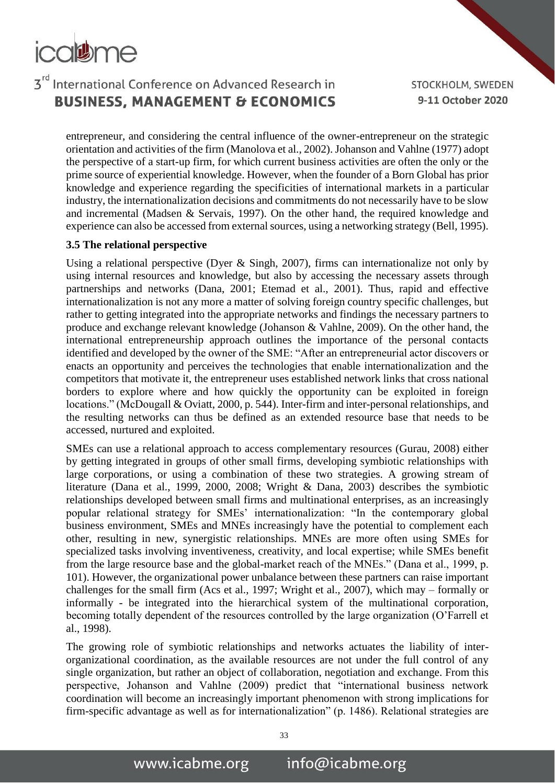## 3rd International Conference on Advanced Research in **BUSINESS, MANAGEMENT & ECONOMICS**

STOCKHOLM, SWEDEN 9-11 October 2020

entrepreneur, and considering the central influence of the owner-entrepreneur on the strategic orientation and activities of the firm (Manolova et al., 2002). Johanson and Vahlne (1977) adopt the perspective of a start-up firm, for which current business activities are often the only or the prime source of experiential knowledge. However, when the founder of a Born Global has prior knowledge and experience regarding the specificities of international markets in a particular industry, the internationalization decisions and commitments do not necessarily have to be slow and incremental (Madsen & Servais, 1997). On the other hand, the required knowledge and experience can also be accessed from external sources, using a networking strategy (Bell, 1995).

#### **3.5 The relational perspective**

Using a relational perspective (Dyer & Singh, 2007), firms can internationalize not only by using internal resources and knowledge, but also by accessing the necessary assets through partnerships and networks (Dana, 2001; Etemad et al., 2001). Thus, rapid and effective internationalization is not any more a matter of solving foreign country specific challenges, but rather to getting integrated into the appropriate networks and findings the necessary partners to produce and exchange relevant knowledge (Johanson & Vahlne, 2009). On the other hand, the international entrepreneurship approach outlines the importance of the personal contacts identified and developed by the owner of the SME: "After an entrepreneurial actor discovers or enacts an opportunity and perceives the technologies that enable internationalization and the competitors that motivate it, the entrepreneur uses established network links that cross national borders to explore where and how quickly the opportunity can be exploited in foreign locations." (McDougall & Oviatt, 2000, p. 544). Inter-firm and inter-personal relationships, and the resulting networks can thus be defined as an extended resource base that needs to be accessed, nurtured and exploited.

SMEs can use a relational approach to access complementary resources (Gurau, 2008) either by getting integrated in groups of other small firms, developing symbiotic relationships with large corporations, or using a combination of these two strategies. A growing stream of literature (Dana et al., 1999, 2000, 2008; Wright & Dana, 2003) describes the symbiotic relationships developed between small firms and multinational enterprises, as an increasingly popular relational strategy for SMEs' internationalization: "In the contemporary global business environment, SMEs and MNEs increasingly have the potential to complement each other, resulting in new, synergistic relationships. MNEs are more often using SMEs for specialized tasks involving inventiveness, creativity, and local expertise; while SMEs benefit from the large resource base and the global-market reach of the MNEs." (Dana et al., 1999, p. 101). However, the organizational power unbalance between these partners can raise important challenges for the small firm (Acs et al., 1997; Wright et al., 2007), which may – formally or informally - be integrated into the hierarchical system of the multinational corporation, becoming totally dependent of the resources controlled by the large organization (O'Farrell et al., 1998).

The growing role of symbiotic relationships and networks actuates the liability of interorganizational coordination, as the available resources are not under the full control of any single organization, but rather an object of collaboration, negotiation and exchange. From this perspective, Johanson and Vahlne (2009) predict that "international business network coordination will become an increasingly important phenomenon with strong implications for firm-specific advantage as well as for internationalization" (p. 1486). Relational strategies are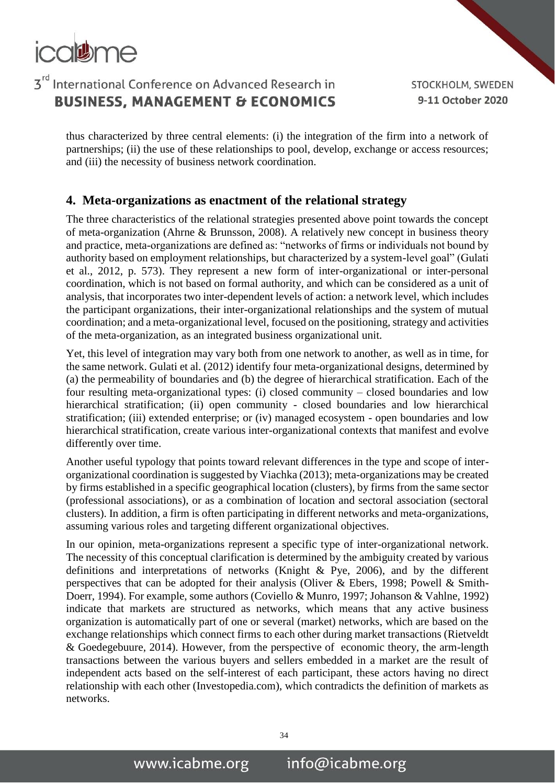

STOCKHOLM, SWEDEN 9-11 October 2020

thus characterized by three central elements: (i) the integration of the firm into a network of partnerships; (ii) the use of these relationships to pool, develop, exchange or access resources; and (iii) the necessity of business network coordination.

#### **4. Meta-organizations as enactment of the relational strategy**

The three characteristics of the relational strategies presented above point towards the concept of meta-organization (Ahrne & Brunsson, 2008). A relatively new concept in business theory and practice, meta-organizations are defined as: "networks of firms or individuals not bound by authority based on employment relationships, but characterized by a system-level goal" (Gulati et al., 2012, p. 573). They represent a new form of inter-organizational or inter-personal coordination, which is not based on formal authority, and which can be considered as a unit of analysis, that incorporates two inter-dependent levels of action: a network level, which includes the participant organizations, their inter-organizational relationships and the system of mutual coordination; and a meta-organizational level, focused on the positioning, strategy and activities of the meta-organization, as an integrated business organizational unit.

Yet, this level of integration may vary both from one network to another, as well as in time, for the same network. Gulati et al. (2012) identify four meta-organizational designs, determined by (a) the permeability of boundaries and (b) the degree of hierarchical stratification. Each of the four resulting meta-organizational types: (i) closed community – closed boundaries and low hierarchical stratification; (ii) open community - closed boundaries and low hierarchical stratification; (iii) extended enterprise; or (iv) managed ecosystem - open boundaries and low hierarchical stratification, create various inter-organizational contexts that manifest and evolve differently over time.

Another useful typology that points toward relevant differences in the type and scope of interorganizational coordination is suggested by Viachka (2013); meta-organizations may be created by firms established in a specific geographical location (clusters), by firms from the same sector (professional associations), or as a combination of location and sectoral association (sectoral clusters). In addition, a firm is often participating in different networks and meta-organizations, assuming various roles and targeting different organizational objectives.

In our opinion, meta-organizations represent a specific type of inter-organizational network. The necessity of this conceptual clarification is determined by the ambiguity created by various definitions and interpretations of networks (Knight & Pye, 2006), and by the different perspectives that can be adopted for their analysis (Oliver & Ebers, 1998; Powell & Smith-Doerr, 1994). For example, some authors (Coviello & Munro, 1997; Johanson & Vahlne, 1992) indicate that markets are structured as networks, which means that any active business organization is automatically part of one or several (market) networks, which are based on the exchange relationships which connect firms to each other during market transactions (Rietveldt & Goedegebuure, 2014). However, from the perspective of economic theory, the arm-length transactions between the various buyers and sellers embedded in a market are the result of independent acts based on the self-interest of each participant, these actors having no direct relationship with each other (Investopedia.com), which contradicts the definition of markets as networks.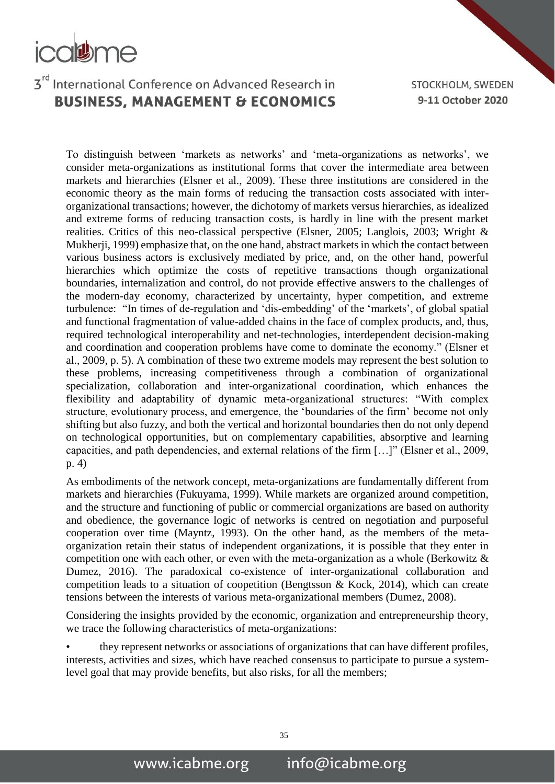

STOCKHOLM, SWEDEN 9-11 October 2020

To distinguish between 'markets as networks' and 'meta-organizations as networks', we consider meta-organizations as institutional forms that cover the intermediate area between markets and hierarchies (Elsner et al., 2009). These three institutions are considered in the economic theory as the main forms of reducing the transaction costs associated with interorganizational transactions; however, the dichotomy of markets versus hierarchies, as idealized and extreme forms of reducing transaction costs, is hardly in line with the present market realities. Critics of this neo-classical perspective (Elsner, 2005; Langlois, 2003; Wright & Mukherji, 1999) emphasize that, on the one hand, abstract markets in which the contact between various business actors is exclusively mediated by price, and, on the other hand, powerful hierarchies which optimize the costs of repetitive transactions though organizational boundaries, internalization and control, do not provide effective answers to the challenges of the modern-day economy, characterized by uncertainty, hyper competition, and extreme turbulence: "In times of de-regulation and 'dis-embedding' of the 'markets', of global spatial and functional fragmentation of value-added chains in the face of complex products, and, thus, required technological interoperability and net-technologies, interdependent decision-making and coordination and cooperation problems have come to dominate the economy." (Elsner et al., 2009, p. 5). A combination of these two extreme models may represent the best solution to these problems, increasing competitiveness through a combination of organizational specialization, collaboration and inter-organizational coordination, which enhances the flexibility and adaptability of dynamic meta-organizational structures: "With complex structure, evolutionary process, and emergence, the 'boundaries of the firm' become not only shifting but also fuzzy, and both the vertical and horizontal boundaries then do not only depend on technological opportunities, but on complementary capabilities, absorptive and learning capacities, and path dependencies, and external relations of the firm […]" (Elsner et al., 2009, p. 4)

As embodiments of the network concept, meta-organizations are fundamentally different from markets and hierarchies (Fukuyama, 1999). While markets are organized around competition, and the structure and functioning of public or commercial organizations are based on authority and obedience, the governance logic of networks is centred on negotiation and purposeful cooperation over time (Mayntz, 1993). On the other hand, as the members of the metaorganization retain their status of independent organizations, it is possible that they enter in competition one with each other, or even with the meta-organization as a whole (Berkowitz & Dumez, 2016). The paradoxical co-existence of inter-organizational collaboration and competition leads to a situation of coopetition (Bengtsson & Kock, 2014), which can create tensions between the interests of various meta-organizational members (Dumez, 2008).

Considering the insights provided by the economic, organization and entrepreneurship theory, we trace the following characteristics of meta-organizations:

• they represent networks or associations of organizations that can have different profiles, interests, activities and sizes, which have reached consensus to participate to pursue a systemlevel goal that may provide benefits, but also risks, for all the members;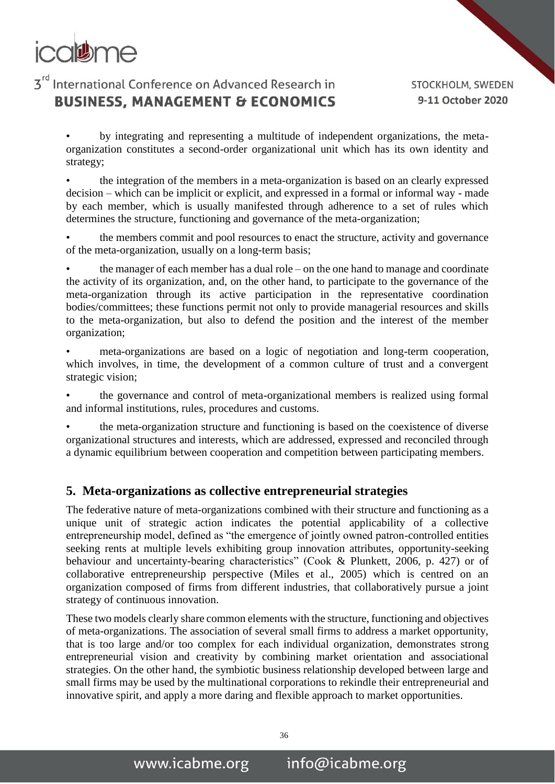

STOCKHOLM, SWEDEN 9-11 October 2020

• by integrating and representing a multitude of independent organizations, the metaorganization constitutes a second-order organizational unit which has its own identity and strategy;

• the integration of the members in a meta-organization is based on an clearly expressed decision – which can be implicit or explicit, and expressed in a formal or informal way - made by each member, which is usually manifested through adherence to a set of rules which determines the structure, functioning and governance of the meta-organization;

the members commit and pool resources to enact the structure, activity and governance of the meta-organization, usually on a long-term basis;

• the manager of each member has a dual role – on the one hand to manage and coordinate the activity of its organization, and, on the other hand, to participate to the governance of the meta-organization through its active participation in the representative coordination bodies/committees; these functions permit not only to provide managerial resources and skills to the meta-organization, but also to defend the position and the interest of the member organization;

meta-organizations are based on a logic of negotiation and long-term cooperation, which involves, in time, the development of a common culture of trust and a convergent strategic vision;

• the governance and control of meta-organizational members is realized using formal and informal institutions, rules, procedures and customs.

the meta-organization structure and functioning is based on the coexistence of diverse organizational structures and interests, which are addressed, expressed and reconciled through a dynamic equilibrium between cooperation and competition between participating members.

#### **5. Meta-organizations as collective entrepreneurial strategies**

The federative nature of meta-organizations combined with their structure and functioning as a unique unit of strategic action indicates the potential applicability of a collective entrepreneurship model, defined as "the emergence of jointly owned patron-controlled entities seeking rents at multiple levels exhibiting group innovation attributes, opportunity-seeking behaviour and uncertainty-bearing characteristics" (Cook & Plunkett, 2006, p. 427) or of collaborative entrepreneurship perspective (Miles et al., 2005) which is centred on an organization composed of firms from different industries, that collaboratively pursue a joint strategy of continuous innovation.

These two models clearly share common elements with the structure, functioning and objectives of meta-organizations. The association of several small firms to address a market opportunity, that is too large and/or too complex for each individual organization, demonstrates strong entrepreneurial vision and creativity by combining market orientation and associational strategies. On the other hand, the symbiotic business relationship developed between large and small firms may be used by the multinational corporations to rekindle their entrepreneurial and innovative spirit, and apply a more daring and flexible approach to market opportunities.

36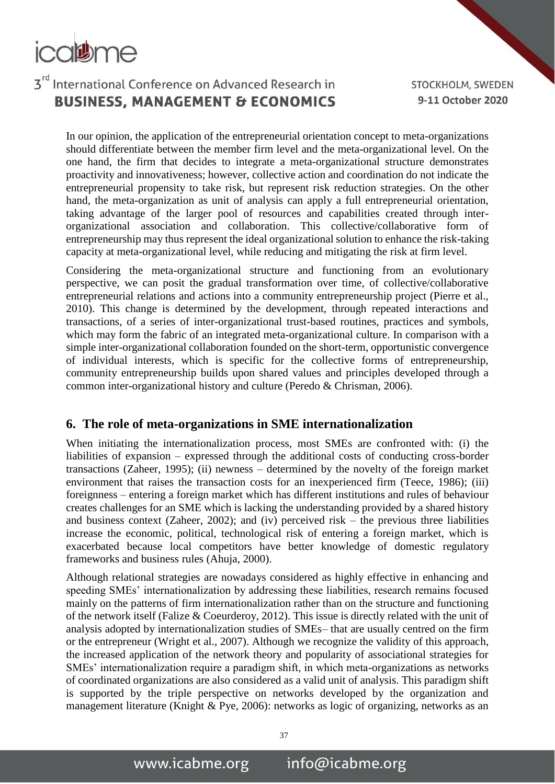# colume

## 3rd International Conference on Advanced Research in **BUSINESS, MANAGEMENT & ECONOMICS**

STOCKHOLM, SWEDEN 9-11 October 2020

In our opinion, the application of the entrepreneurial orientation concept to meta-organizations should differentiate between the member firm level and the meta-organizational level. On the one hand, the firm that decides to integrate a meta-organizational structure demonstrates proactivity and innovativeness; however, collective action and coordination do not indicate the entrepreneurial propensity to take risk, but represent risk reduction strategies. On the other hand, the meta-organization as unit of analysis can apply a full entrepreneurial orientation, taking advantage of the larger pool of resources and capabilities created through interorganizational association and collaboration. This collective/collaborative form of entrepreneurship may thus represent the ideal organizational solution to enhance the risk-taking capacity at meta-organizational level, while reducing and mitigating the risk at firm level.

Considering the meta-organizational structure and functioning from an evolutionary perspective, we can posit the gradual transformation over time, of collective/collaborative entrepreneurial relations and actions into a community entrepreneurship project (Pierre et al., 2010). This change is determined by the development, through repeated interactions and transactions, of a series of inter-organizational trust-based routines, practices and symbols, which may form the fabric of an integrated meta-organizational culture. In comparison with a simple inter-organizational collaboration founded on the short-term, opportunistic convergence of individual interests, which is specific for the collective forms of entrepreneurship, community entrepreneurship builds upon shared values and principles developed through a common inter-organizational history and culture (Peredo & Chrisman, 2006).

#### **6. The role of meta-organizations in SME internationalization**

When initiating the internationalization process, most SMEs are confronted with: (i) the liabilities of expansion – expressed through the additional costs of conducting cross-border transactions (Zaheer, 1995); (ii) newness – determined by the novelty of the foreign market environment that raises the transaction costs for an inexperienced firm (Teece, 1986); (iii) foreignness – entering a foreign market which has different institutions and rules of behaviour creates challenges for an SME which is lacking the understanding provided by a shared history and business context (Zaheer, 2002); and (iv) perceived risk – the previous three liabilities increase the economic, political, technological risk of entering a foreign market, which is exacerbated because local competitors have better knowledge of domestic regulatory frameworks and business rules (Ahuja, 2000).

Although relational strategies are nowadays considered as highly effective in enhancing and speeding SMEs' internationalization by addressing these liabilities, research remains focused mainly on the patterns of firm internationalization rather than on the structure and functioning of the network itself (Falize & Coeurderoy, 2012). This issue is directly related with the unit of analysis adopted by internationalization studies of SMEs– that are usually centred on the firm or the entrepreneur (Wright et al., 2007). Although we recognize the validity of this approach, the increased application of the network theory and popularity of associational strategies for SMEs' internationalization require a paradigm shift, in which meta-organizations as networks of coordinated organizations are also considered as a valid unit of analysis. This paradigm shift is supported by the triple perspective on networks developed by the organization and management literature (Knight & Pye, 2006): networks as logic of organizing, networks as an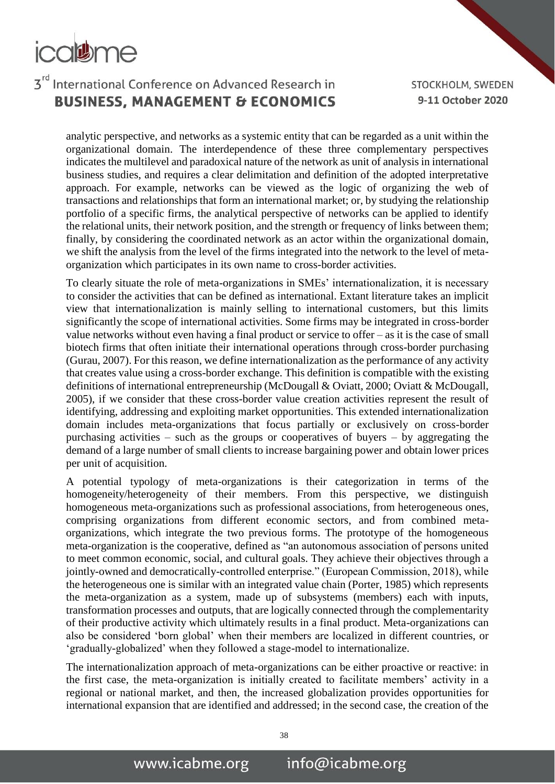## 3rd International Conference on Advanced Research in **BUSINESS, MANAGEMENT & ECONOMICS**

STOCKHOLM, SWEDEN 9-11 October 2020

analytic perspective, and networks as a systemic entity that can be regarded as a unit within the organizational domain. The interdependence of these three complementary perspectives indicates the multilevel and paradoxical nature of the network as unit of analysis in international business studies, and requires a clear delimitation and definition of the adopted interpretative approach. For example, networks can be viewed as the logic of organizing the web of transactions and relationships that form an international market; or, by studying the relationship portfolio of a specific firms, the analytical perspective of networks can be applied to identify the relational units, their network position, and the strength or frequency of links between them; finally, by considering the coordinated network as an actor within the organizational domain, we shift the analysis from the level of the firms integrated into the network to the level of metaorganization which participates in its own name to cross-border activities.

To clearly situate the role of meta-organizations in SMEs' internationalization, it is necessary to consider the activities that can be defined as international. Extant literature takes an implicit view that internationalization is mainly selling to international customers, but this limits significantly the scope of international activities. Some firms may be integrated in cross-border value networks without even having a final product or service to offer – as it is the case of small biotech firms that often initiate their international operations through cross-border purchasing (Gurau, 2007). For this reason, we define internationalization as the performance of any activity that creates value using a cross-border exchange. This definition is compatible with the existing definitions of international entrepreneurship (McDougall & Oviatt, 2000; Oviatt & McDougall, 2005), if we consider that these cross-border value creation activities represent the result of identifying, addressing and exploiting market opportunities. This extended internationalization domain includes meta-organizations that focus partially or exclusively on cross-border purchasing activities – such as the groups or cooperatives of buyers – by aggregating the demand of a large number of small clients to increase bargaining power and obtain lower prices per unit of acquisition.

A potential typology of meta-organizations is their categorization in terms of the homogeneity/heterogeneity of their members. From this perspective, we distinguish homogeneous meta-organizations such as professional associations, from heterogeneous ones, comprising organizations from different economic sectors, and from combined metaorganizations, which integrate the two previous forms. The prototype of the homogeneous meta-organization is the cooperative, defined as "an autonomous association of persons united to meet common economic, social, and cultural goals. They achieve their objectives through a jointly-owned and democratically-controlled enterprise." (European Commission, 2018), while the heterogeneous one is similar with an integrated value chain (Porter, 1985) which represents the meta-organization as a system, made up of subsystems (members) each with inputs, transformation processes and outputs, that are logically connected through the complementarity of their productive activity which ultimately results in a final product. Meta-organizations can also be considered 'born global' when their members are localized in different countries, or 'gradually-globalized' when they followed a stage-model to internationalize.

The internationalization approach of meta-organizations can be either proactive or reactive: in the first case, the meta-organization is initially created to facilitate members' activity in a regional or national market, and then, the increased globalization provides opportunities for international expansion that are identified and addressed; in the second case, the creation of the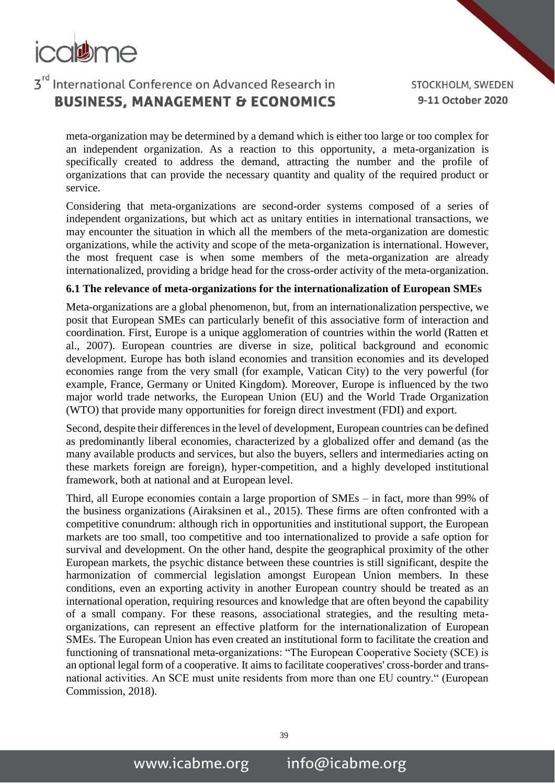

STOCKHOLM, SWEDEN 9-11 October 2020

meta-organization may be determined by a demand which is either too large or too complex for an independent organization. As a reaction to this opportunity, a meta-organization is specifically created to address the demand, attracting the number and the profile of organizations that can provide the necessary quantity and quality of the required product or service.

Considering that meta-organizations are second-order systems composed of a series of independent organizations, but which act as unitary entities in international transactions, we may encounter the situation in which all the members of the meta-organization are domestic organizations, while the activity and scope of the meta-organization is international. However, the most frequent case is when some members of the meta-organization are already internationalized, providing a bridge head for the cross-order activity of the meta-organization.

#### **6.1 The relevance of meta-organizations for the internationalization of European SMEs**

Meta-organizations are a global phenomenon, but, from an internationalization perspective, we posit that European SMEs can particularly benefit of this associative form of interaction and coordination. First, Europe is a unique agglomeration of countries within the world (Ratten et al., 2007). European countries are diverse in size, political background and economic development. Europe has both island economies and transition economies and its developed economies range from the very small (for example, Vatican City) to the very powerful (for example, France, Germany or United Kingdom). Moreover, Europe is influenced by the two major world trade networks, the European Union (EU) and the World Trade Organization (WTO) that provide many opportunities for foreign direct investment (FDI) and export.

Second, despite their differences in the level of development, European countries can be defined as predominantly liberal economies, characterized by a globalized offer and demand (as the many available products and services, but also the buyers, sellers and intermediaries acting on these markets foreign are foreign), hyper-competition, and a highly developed institutional framework, both at national and at European level.

Third, all Europe economies contain a large proportion of SMEs – in fact, more than 99% of the business organizations (Airaksinen et al., 2015). These firms are often confronted with a competitive conundrum: although rich in opportunities and institutional support, the European markets are too small, too competitive and too internationalized to provide a safe option for survival and development. On the other hand, despite the geographical proximity of the other European markets, the psychic distance between these countries is still significant, despite the harmonization of commercial legislation amongst European Union members. In these conditions, even an exporting activity in another European country should be treated as an international operation, requiring resources and knowledge that are often beyond the capability of a small company. For these reasons, associational strategies, and the resulting metaorganizations, can represent an effective platform for the internationalization of European SMEs. The European Union has even created an institutional form to facilitate the creation and functioning of transnational meta-organizations: "The European Cooperative Society (SCE) is an optional legal form of a cooperative. It aims to facilitate cooperatives' cross-border and transnational activities. An SCE must unite residents from more than one EU country." (European Commission, 2018).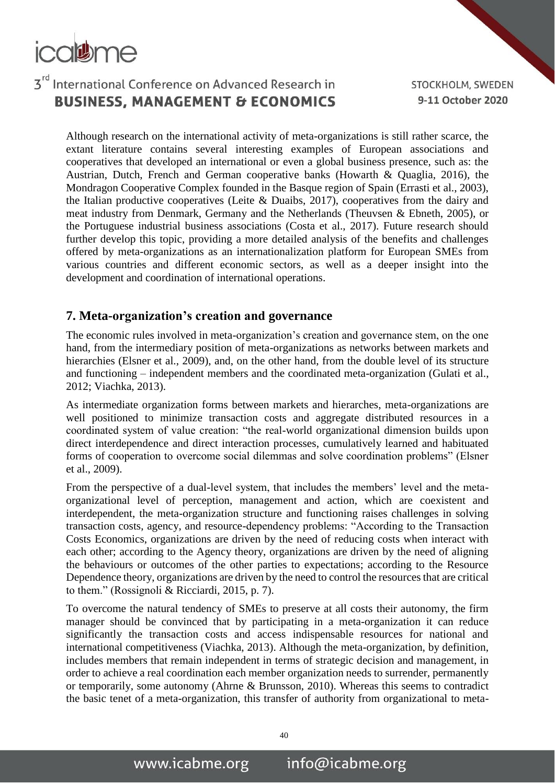## 3rd International Conference on Advanced Research in **BUSINESS, MANAGEMENT & ECONOMICS**

STOCKHOLM, SWEDEN 9-11 October 2020

Although research on the international activity of meta-organizations is still rather scarce, the extant literature contains several interesting examples of European associations and cooperatives that developed an international or even a global business presence, such as: the Austrian, Dutch, French and German cooperative banks (Howarth & Quaglia, 2016), the Mondragon Cooperative Complex founded in the Basque region of Spain (Errasti et al., 2003), the Italian productive cooperatives (Leite & Duaibs, 2017), cooperatives from the dairy and meat industry from Denmark, Germany and the Netherlands (Theuvsen & Ebneth, 2005), or the Portuguese industrial business associations (Costa et al., 2017). Future research should further develop this topic, providing a more detailed analysis of the benefits and challenges offered by meta-organizations as an internationalization platform for European SMEs from various countries and different economic sectors, as well as a deeper insight into the development and coordination of international operations.

#### **7. Meta-organization's creation and governance**

The economic rules involved in meta-organization's creation and governance stem, on the one hand, from the intermediary position of meta-organizations as networks between markets and hierarchies (Elsner et al., 2009), and, on the other hand, from the double level of its structure and functioning – independent members and the coordinated meta-organization (Gulati et al., 2012; Viachka, 2013).

As intermediate organization forms between markets and hierarches, meta-organizations are well positioned to minimize transaction costs and aggregate distributed resources in a coordinated system of value creation: "the real-world organizational dimension builds upon direct interdependence and direct interaction processes, cumulatively learned and habituated forms of cooperation to overcome social dilemmas and solve coordination problems" (Elsner et al., 2009).

From the perspective of a dual-level system, that includes the members' level and the metaorganizational level of perception, management and action, which are coexistent and interdependent, the meta-organization structure and functioning raises challenges in solving transaction costs, agency, and resource-dependency problems: "According to the Transaction Costs Economics, organizations are driven by the need of reducing costs when interact with each other; according to the Agency theory, organizations are driven by the need of aligning the behaviours or outcomes of the other parties to expectations; according to the Resource Dependence theory, organizations are driven by the need to control the resources that are critical to them." (Rossignoli & Ricciardi, 2015, p. 7).

To overcome the natural tendency of SMEs to preserve at all costs their autonomy, the firm manager should be convinced that by participating in a meta-organization it can reduce significantly the transaction costs and access indispensable resources for national and international competitiveness (Viachka, 2013). Although the meta-organization, by definition, includes members that remain independent in terms of strategic decision and management, in order to achieve a real coordination each member organization needs to surrender, permanently or temporarily, some autonomy (Ahrne & Brunsson, 2010). Whereas this seems to contradict the basic tenet of a meta-organization, this transfer of authority from organizational to meta-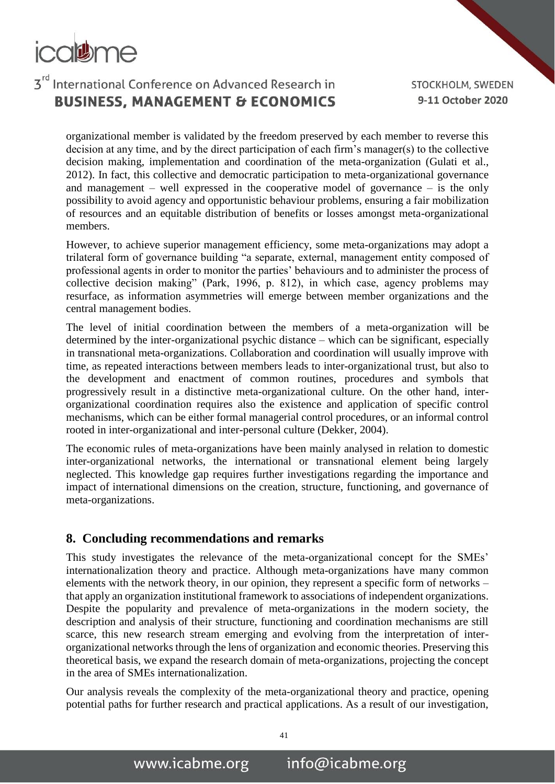# 3rd International Conference on Advanced Research in **BUSINESS, MANAGEMENT & ECONOMICS**

STOCKHOLM, SWEDEN 9-11 October 2020

organizational member is validated by the freedom preserved by each member to reverse this decision at any time, and by the direct participation of each firm's manager(s) to the collective decision making, implementation and coordination of the meta-organization (Gulati et al., 2012). In fact, this collective and democratic participation to meta-organizational governance and management – well expressed in the cooperative model of governance – is the only possibility to avoid agency and opportunistic behaviour problems, ensuring a fair mobilization of resources and an equitable distribution of benefits or losses amongst meta-organizational members.

However, to achieve superior management efficiency, some meta-organizations may adopt a trilateral form of governance building "a separate, external, management entity composed of professional agents in order to monitor the parties' behaviours and to administer the process of collective decision making" (Park, 1996, p. 812), in which case, agency problems may resurface, as information asymmetries will emerge between member organizations and the central management bodies.

The level of initial coordination between the members of a meta-organization will be determined by the inter-organizational psychic distance – which can be significant, especially in transnational meta-organizations. Collaboration and coordination will usually improve with time, as repeated interactions between members leads to inter-organizational trust, but also to the development and enactment of common routines, procedures and symbols that progressively result in a distinctive meta-organizational culture. On the other hand, interorganizational coordination requires also the existence and application of specific control mechanisms, which can be either formal managerial control procedures, or an informal control rooted in inter-organizational and inter-personal culture (Dekker, 2004).

The economic rules of meta-organizations have been mainly analysed in relation to domestic inter-organizational networks, the international or transnational element being largely neglected. This knowledge gap requires further investigations regarding the importance and impact of international dimensions on the creation, structure, functioning, and governance of meta-organizations.

#### **8. Concluding recommendations and remarks**

This study investigates the relevance of the meta-organizational concept for the SMEs' internationalization theory and practice. Although meta-organizations have many common elements with the network theory, in our opinion, they represent a specific form of networks – that apply an organization institutional framework to associations of independent organizations. Despite the popularity and prevalence of meta-organizations in the modern society, the description and analysis of their structure, functioning and coordination mechanisms are still scarce, this new research stream emerging and evolving from the interpretation of interorganizational networks through the lens of organization and economic theories. Preserving this theoretical basis, we expand the research domain of meta-organizations, projecting the concept in the area of SMEs internationalization.

Our analysis reveals the complexity of the meta-organizational theory and practice, opening potential paths for further research and practical applications. As a result of our investigation,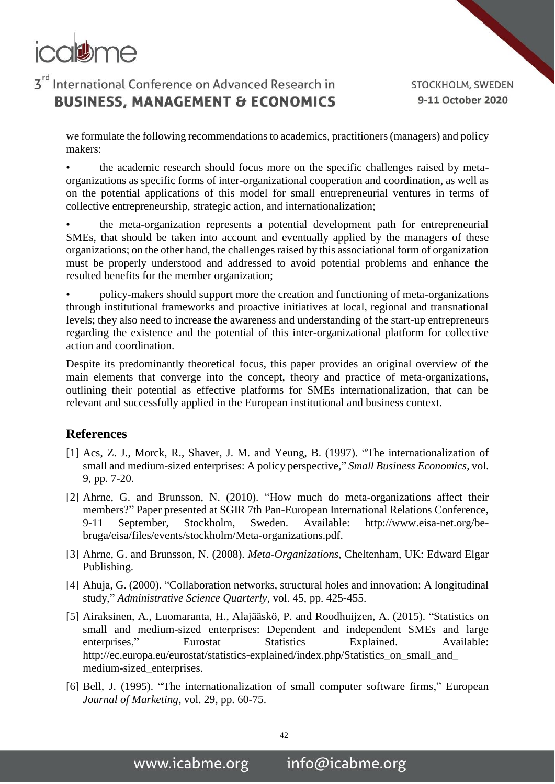

STOCKHOLM, SWEDEN 9-11 October 2020

we formulate the following recommendations to academics, practitioners (managers) and policy makers:

the academic research should focus more on the specific challenges raised by metaorganizations as specific forms of inter-organizational cooperation and coordination, as well as on the potential applications of this model for small entrepreneurial ventures in terms of collective entrepreneurship, strategic action, and internationalization;

• the meta-organization represents a potential development path for entrepreneurial SMEs, that should be taken into account and eventually applied by the managers of these organizations; on the other hand, the challenges raised by this associational form of organization must be properly understood and addressed to avoid potential problems and enhance the resulted benefits for the member organization;

• policy-makers should support more the creation and functioning of meta-organizations through institutional frameworks and proactive initiatives at local, regional and transnational levels; they also need to increase the awareness and understanding of the start-up entrepreneurs regarding the existence and the potential of this inter-organizational platform for collective action and coordination.

Despite its predominantly theoretical focus, this paper provides an original overview of the main elements that converge into the concept, theory and practice of meta-organizations, outlining their potential as effective platforms for SMEs internationalization, that can be relevant and successfully applied in the European institutional and business context.

#### **References**

- [1] Acs, Z. J., Morck, R., Shaver, J. M. and Yeung, B. (1997). "The internationalization of small and medium-sized enterprises: A policy perspective," *Small Business Economics*, vol. 9, pp. 7-20.
- [2] Ahrne, G. and Brunsson, N. (2010). "How much do meta-organizations affect their members?" Paper presented at SGIR 7th Pan-European International Relations Conference, 9-11 September, Stockholm, Sweden. Available: http://www.eisa-net.org/bebruga/eisa/files/events/stockholm/Meta-organizations.pdf.
- [3] Ahrne, G. and Brunsson, N. (2008). *Meta-Organizations*, Cheltenham, UK: Edward Elgar Publishing.
- [4] Ahuja, G. (2000). "Collaboration networks, structural holes and innovation: A longitudinal study," *Administrative Science Quarterly*, vol. 45, pp. 425-455.
- [5] Airaksinen, A., Luomaranta, H., Alajääskö, P. and Roodhuijzen, A. (2015). "Statistics on small and medium-sized enterprises: Dependent and independent SMEs and large enterprises," Eurostat Statistics Explained. Available: http://ec.europa.eu/eurostat/statistics-explained/index.php/Statistics\_on\_small\_and\_ medium-sized\_enterprises.
- [6] Bell, J. (1995). "The internationalization of small computer software firms," European *Journal of Marketing*, vol. 29, pp. 60-75.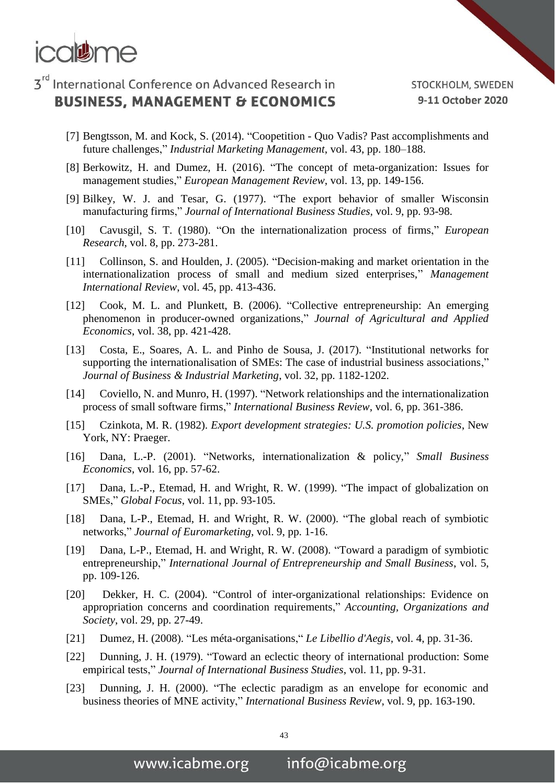

- [7] Bengtsson, M. and Kock, S. (2014). "Coopetition Quo Vadis? Past accomplishments and future challenges," *Industrial Marketing Management*, vol. 43, pp. 180–188.
- [8] Berkowitz, H. and Dumez, H. (2016). "The concept of meta-organization: Issues for management studies," *European Management Review*, vol. 13, pp. 149-156.
- [9] Bilkey, W. J. and Tesar, G. (1977). "The export behavior of smaller Wisconsin manufacturing firms," *Journal of International Business Studies*, vol. 9, pp. 93-98.
- [10] Cavusgil, S. T. (1980). "On the internationalization process of firms," *European Research*, vol. 8, pp. 273-281.
- [11] Collinson, S. and Houlden, J. (2005). "Decision-making and market orientation in the internationalization process of small and medium sized enterprises," *Management International Review*, vol. 45, pp. 413-436.
- [12] Cook, M. L. and Plunkett, B. (2006). "Collective entrepreneurship: An emerging phenomenon in producer-owned organizations," *Journal of Agricultural and Applied Economics*, vol. 38, pp. 421-428.
- [13] Costa, E., Soares, A. L. and Pinho de Sousa, J. (2017). "Institutional networks for supporting the internationalisation of SMEs: The case of industrial business associations," *Journal of Business & Industrial Marketing*, vol. 32, pp. 1182-1202.
- [14] Coviello, N. and Munro, H. (1997). "Network relationships and the internationalization process of small software firms," *International Business Review*, vol. 6, pp. 361-386.
- [15] Czinkota, M. R. (1982). *Export development strategies: U.S. promotion policies*, New York, NY: Praeger.
- [16] Dana, L.-P. (2001). "Networks, internationalization & policy," *Small Business Economics*, vol. 16, pp. 57-62.
- [17] Dana, L.-P., Etemad, H. and Wright, R. W. (1999). "The impact of globalization on SMEs," *Global Focus*, vol. 11, pp. 93-105.
- [18] Dana, L-P., Etemad, H. and Wright, R. W. (2000). "The global reach of symbiotic networks," *Journal of Euromarketing*, vol. 9, pp. 1-16.
- [19] Dana, L-P., Etemad, H. and Wright, R. W. (2008). "Toward a paradigm of symbiotic entrepreneurship," *International Journal of Entrepreneurship and Small Business*, vol. 5, pp. 109-126.
- [20] Dekker, H. C. (2004). "Control of inter-organizational relationships: Evidence on appropriation concerns and coordination requirements," *Accounting, Organizations and Society*, vol. 29, pp. 27-49.
- [21] Dumez, H. (2008). "Les méta-organisations," *Le Libellio d'Aegis*, vol. 4, pp. 31-36.
- [22] Dunning, J. H. (1979). "Toward an eclectic theory of international production: Some empirical tests," *Journal of International Business Studies*, vol. 11, pp. 9-31.
- [23] Dunning, J. H. (2000). "The eclectic paradigm as an envelope for economic and business theories of MNE activity," *International Business Review*, vol. 9, pp. 163-190.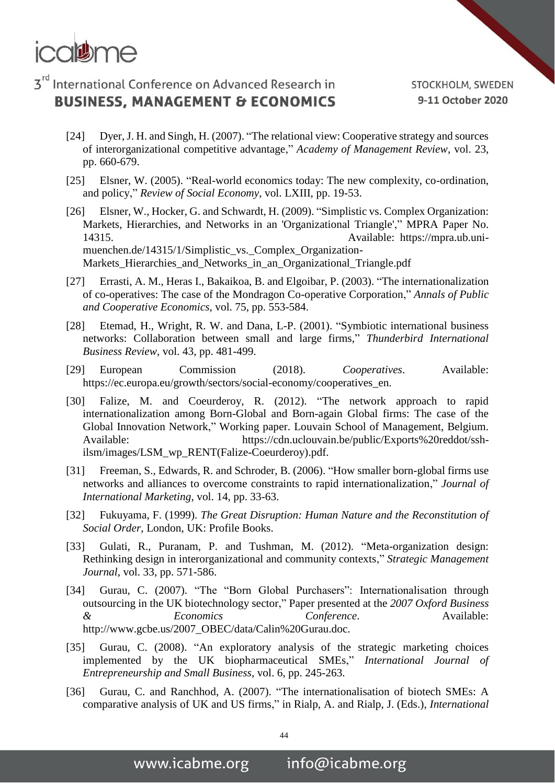

- [24] Dyer, J. H. and Singh, H. (2007). "The relational view: Cooperative strategy and sources of interorganizational competitive advantage," *Academy of Management Review*, vol. 23, pp. 660-679.
- [25] Elsner, W. (2005). "Real-world economics today: The new complexity, co-ordination, and policy," *Review of Social Economy*, vol. LXIII, pp. 19-53.
- [26] Elsner, W., Hocker, G. and Schwardt, H. (2009). "Simplistic vs. Complex Organization: Markets, Hierarchies, and Networks in an 'Organizational Triangle'," MPRA Paper No. 14315. Available: https://mpra.ub.unimuenchen.de/14315/1/Simplistic\_vs.\_Complex\_Organization-Markets\_Hierarchies\_and\_Networks\_in\_an\_Organizational\_Triangle.pdf
- [27] Errasti, A. M., Heras I., Bakaikoa, B. and Elgoibar, P. (2003). "The internationalization of co-operatives: The case of the Mondragon Co-operative Corporation," *Annals of Public and Cooperative Economics*, vol. 75, pp. 553-584.
- [28] Etemad, H., Wright, R. W. and Dana, L-P. (2001). "Symbiotic international business networks: Collaboration between small and large firms," *Thunderbird International Business Review*, vol. 43, pp. 481-499.
- [29] European Commission (2018). *Cooperatives*. Available: https://ec.europa.eu/growth/sectors/social-economy/cooperatives\_en.
- [30] Falize, M. and Coeurderoy, R. (2012). "The network approach to rapid internationalization among Born-Global and Born-again Global firms: The case of the Global Innovation Network," Working paper. Louvain School of Management, Belgium. Available: https://cdn.uclouvain.be/public/Exports%20reddot/sshilsm/images/LSM\_wp\_RENT(Falize-Coeurderoy).pdf.
- [31] Freeman, S., Edwards, R. and Schroder, B. (2006). "How smaller born-global firms use networks and alliances to overcome constraints to rapid internationalization," *Journal of International Marketing*, vol. 14, pp. 33-63.
- [32] Fukuyama, F. (1999). *The Great Disruption: Human Nature and the Reconstitution of Social Order*, London, UK: Profile Books.
- [33] Gulati, R., Puranam, P. and Tushman, M. (2012). "Meta-organization design: Rethinking design in interorganizational and community contexts," *Strategic Management Journal*, vol. 33, pp. 571-586.
- [34] Gurau, C. (2007). "The "Born Global Purchasers": Internationalisation through outsourcing in the UK biotechnology sector," Paper presented at the *2007 Oxford Business Economics Conference*. Available: http://www.gcbe.us/2007\_OBEC/data/Calin%20Gurau.doc.
- [35] Gurau, C. (2008). "An exploratory analysis of the strategic marketing choices implemented by the UK biopharmaceutical SMEs," *International Journal of Entrepreneurship and Small Business*, vol. 6, pp. 245-263.
- [36] Gurau, C. and Ranchhod, A. (2007). "The internationalisation of biotech SMEs: A comparative analysis of UK and US firms," in Rialp, A. and Rialp, J. (Eds.), *International*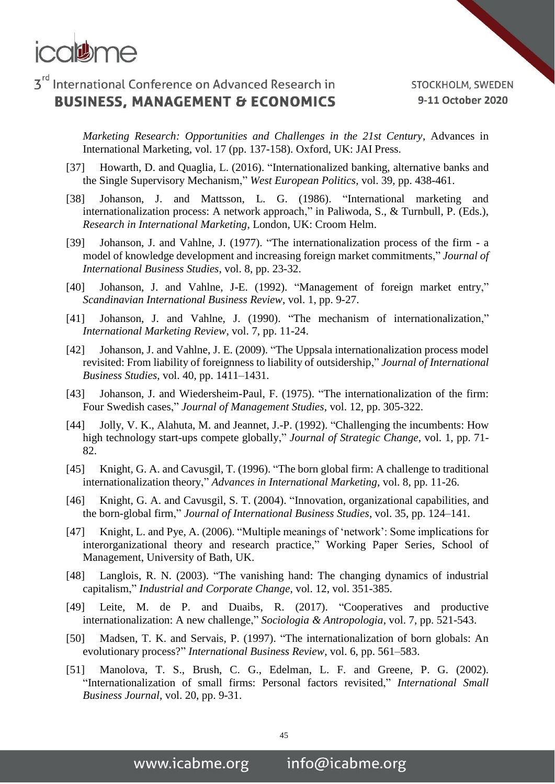

STOCKHOLM, SWEDEN 9-11 October 2020

*Marketing Research: Opportunities and Challenges in the 21st Century*, Advances in International Marketing, vol. 17 (pp. 137-158). Oxford, UK: JAI Press.

- [37] Howarth, D. and Quaglia, L. (2016). "Internationalized banking, alternative banks and the Single Supervisory Mechanism," *West European Politics*, vol. 39, pp. 438-461.
- [38] Johanson, J. and Mattsson, L. G. (1986). "International marketing and internationalization process: A network approach," in Paliwoda, S., & Turnbull, P. (Eds.), *Research in International Marketing*, London, UK: Croom Helm.
- [39] Johanson, J. and Vahlne, J. (1977). "The internationalization process of the firm a model of knowledge development and increasing foreign market commitments," *Journal of International Business Studies*, vol. 8, pp. 23-32.
- [40] Johanson, J. and Vahlne, J-E. (1992). "Management of foreign market entry," *Scandinavian International Business Review*, vol. 1, pp. 9-27.
- [41] Johanson, J. and Vahlne, J. (1990). "The mechanism of internationalization," *International Marketing Review*, vol. 7, pp. 11-24.
- [42] Johanson, J. and Vahlne, J. E. (2009). "The Uppsala internationalization process model revisited: From liability of foreignness to liability of outsidership," *Journal of International Business Studies*, vol. 40, pp. 1411–1431.
- [43] Johanson, J. and Wiedersheim-Paul, F. (1975). "The internationalization of the firm: Four Swedish cases," *Journal of Management Studies*, vol. 12, pp. 305-322.
- [44] Jolly, V. K., Alahuta, M. and Jeannet, J.-P. (1992). "Challenging the incumbents: How high technology start-ups compete globally," *Journal of Strategic Change*, vol. 1, pp. 71- 82.
- [45] Knight, G. A. and Cavusgil, T. (1996). "The born global firm: A challenge to traditional internationalization theory," *Advances in International Marketing*, vol. 8, pp. 11-26.
- [46] Knight, G. A. and Cavusgil, S. T. (2004). "Innovation, organizational capabilities, and the born-global firm," *Journal of International Business Studies*, vol. 35, pp. 124–141.
- [47] Knight, L. and Pye, A. (2006). "Multiple meanings of 'network': Some implications for interorganizational theory and research practice," Working Paper Series, School of Management, University of Bath, UK.
- [48] Langlois, R. N. (2003). "The vanishing hand: The changing dynamics of industrial capitalism," *Industrial and Corporate Change*, vol. 12, vol. 351-385.
- [49] Leite, M. de P. and Duaibs, R. (2017). "Cooperatives and productive internationalization: A new challenge," *Sociologia & Antropologia*, vol. 7, pp. 521-543.
- [50] Madsen, T. K. and Servais, P. (1997). "The internationalization of born globals: An evolutionary process?" *International Business Review*, vol. 6, pp. 561–583.
- [51] Manolova, T. S., Brush, C. G., Edelman, L. F. and Greene, P. G. (2002). "Internationalization of small firms: Personal factors revisited," *International Small Business Journal*, vol. 20, pp. 9-31.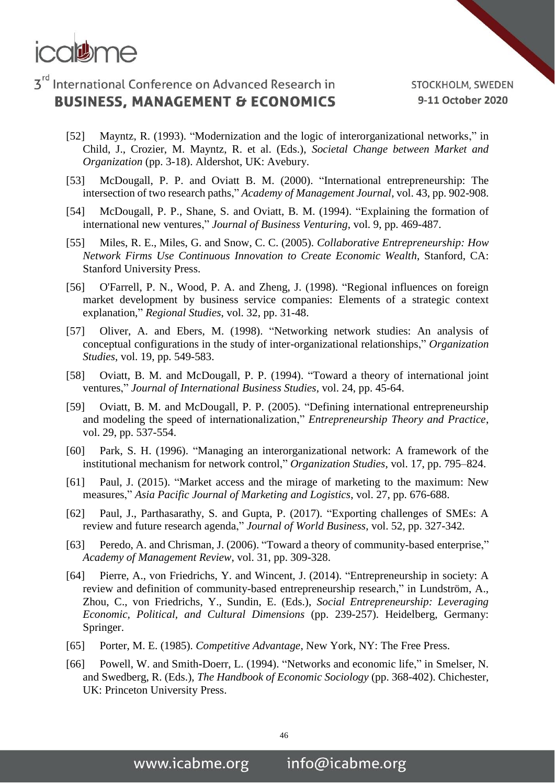

- [52] Mayntz, R. (1993). "Modernization and the logic of interorganizational networks," in Child, J., Crozier, M. Mayntz, R. et al. (Eds.), *Societal Change between Market and Organization* (pp. 3-18). Aldershot, UK: Avebury.
- [53] McDougall, P. P. and Oviatt B. M. (2000). "International entrepreneurship: The intersection of two research paths," *Academy of Management Journal*, vol. 43, pp. 902-908.
- [54] McDougall, P. P., Shane, S. and Oviatt, B. M. (1994). "Explaining the formation of international new ventures," *Journal of Business Venturing*, vol. 9, pp. 469-487.
- [55] Miles, R. E., Miles, G. and Snow, C. C. (2005). *Collaborative Entrepreneurship: How Network Firms Use Continuous Innovation to Create Economic Wealth*, Stanford, CA: Stanford University Press.
- [56] O'Farrell, P. N., Wood, P. A. and Zheng, J. (1998). "Regional influences on foreign market development by business service companies: Elements of a strategic context explanation," *Regional Studies*, vol. 32, pp. 31-48.
- [57] Oliver, A. and Ebers, M. (1998). "Networking network studies: An analysis of conceptual configurations in the study of inter-organizational relationships," *Organization Studies*, vol. 19, pp. 549-583.
- [58] Oviatt, B. M. and McDougall, P. P. (1994). "Toward a theory of international joint ventures," *Journal of International Business Studies*, vol. 24, pp. 45-64.
- [59] Oviatt, B. M. and McDougall, P. P. (2005). "Defining international entrepreneurship and modeling the speed of internationalization," *Entrepreneurship Theory and Practice*, vol. 29, pp. 537-554.
- [60] Park, S. H. (1996). "Managing an interorganizational network: A framework of the institutional mechanism for network control," *Organization Studies*, vol. 17, pp. 795–824.
- [61] Paul, J. (2015). "Market access and the mirage of marketing to the maximum: New measures," *Asia Pacific Journal of Marketing and Logistics*, vol. 27, pp. 676-688.
- [62] Paul, J., Parthasarathy, S. and Gupta, P. (2017). "Exporting challenges of SMEs: A review and future research agenda," *Journal of World Business*, vol. 52, pp. 327-342.
- [63] Peredo, A. and Chrisman, J. (2006). "Toward a theory of community-based enterprise," *Academy of Management Review*, vol. 31, pp. 309-328.
- [64] Pierre, A., von Friedrichs, Y. and Wincent, J. (2014). "Entrepreneurship in society: A review and definition of community-based entrepreneurship research," in Lundström, A., Zhou, C., von Friedrichs, Y., Sundin, E. (Eds.), *Social Entrepreneurship: Leveraging Economic, Political, and Cultural Dimensions* (pp. 239-257). Heidelberg, Germany: Springer.
- [65] Porter, M. E. (1985). *Competitive Advantage*, New York, NY: The Free Press.
- [66] Powell, W. and Smith-Doerr, L. (1994). "Networks and economic life," in Smelser, N. and Swedberg, R. (Eds.), *The Handbook of Economic Sociology* (pp. 368-402). Chichester, UK: Princeton University Press.